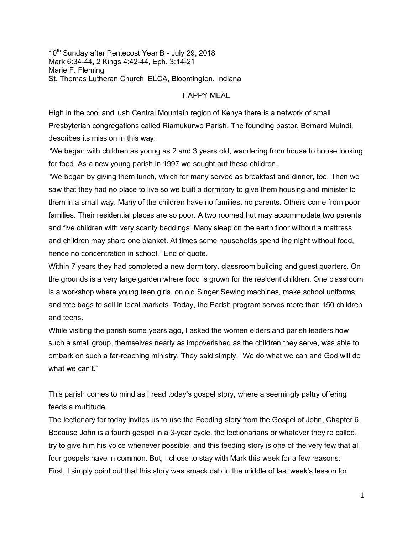10<sup>th</sup> Sunday after Pentecost Year B - July 29, 2018 Mark 6:34-44, 2 Kings 4:42-44, Eph. 3:14-21 Marie F. Fleming St. Thomas Lutheran Church, ELCA, Bloomington, Indiana

## HAPPY MEAL

High in the cool and lush Central Mountain region of Kenya there is a network of small Presbyterian congregations called Riamukurwe Parish. The founding pastor, Bernard Muindi, describes its mission in this way:

"We began with children as young as 2 and 3 years old, wandering from house to house looking for food. As a new young parish in 1997 we sought out these children.

"We began by giving them lunch, which for many served as breakfast and dinner, too. Then we saw that they had no place to live so we built a dormitory to give them housing and minister to them in a small way. Many of the children have no families, no parents. Others come from poor families. Their residential places are so poor. A two roomed hut may accommodate two parents and five children with very scanty beddings. Many sleep on the earth floor without a mattress and children may share one blanket. At times some households spend the night without food, hence no concentration in school." End of quote.

Within 7 years they had completed a new dormitory, classroom building and guest quarters. On the grounds is a very large garden where food is grown for the resident children. One classroom is a workshop where young teen girls, on old Singer Sewing machines, make school uniforms and tote bags to sell in local markets. Today, the Parish program serves more than 150 children and teens.

While visiting the parish some years ago, I asked the women elders and parish leaders how such a small group, themselves nearly as impoverished as the children they serve, was able to embark on such a far-reaching ministry. They said simply, "We do what we can and God will do what we can't."

This parish comes to mind as I read today's gospel story, where a seemingly paltry offering feeds a multitude.

The lectionary for today invites us to use the Feeding story from the Gospel of John, Chapter 6. Because John is a fourth gospel in a 3-year cycle, the lectionarians or whatever they're called, try to give him his voice whenever possible, and this feeding story is one of the very few that all four gospels have in common. But, I chose to stay with Mark this week for a few reasons: First, I simply point out that this story was smack dab in the middle of last week's lesson for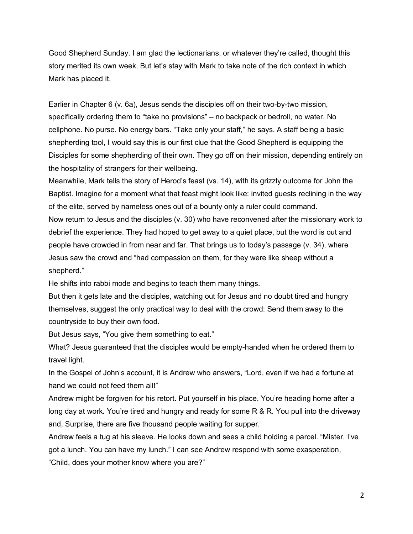Good Shepherd Sunday. I am glad the lectionarians, or whatever they're called, thought this story merited its own week. But let's stay with Mark to take note of the rich context in which Mark has placed it.

Earlier in Chapter 6 (v. 6a), Jesus sends the disciples off on their two-by-two mission, specifically ordering them to "take no provisions" – no backpack or bedroll, no water. No cellphone. No purse. No energy bars. "Take only your staff," he says. A staff being a basic shepherding tool, I would say this is our first clue that the Good Shepherd is equipping the Disciples for some shepherding of their own. They go off on their mission, depending entirely on the hospitality of strangers for their wellbeing.

Meanwhile, Mark tells the story of Herod's feast (vs. 14), with its grizzly outcome for John the Baptist. Imagine for a moment what that feast might look like: invited guests reclining in the way of the elite, served by nameless ones out of a bounty only a ruler could command. Now return to Jesus and the disciples (v. 30) who have reconvened after the missionary work to debrief the experience. They had hoped to get away to a quiet place, but the word is out and people have crowded in from near and far. That brings us to today's passage (v. 34), where Jesus saw the crowd and "had compassion on them, for they were like sheep without a shepherd."

He shifts into rabbi mode and begins to teach them many things.

But then it gets late and the disciples, watching out for Jesus and no doubt tired and hungry themselves, suggest the only practical way to deal with the crowd: Send them away to the countryside to buy their own food.

But Jesus says, "You give them something to eat."

What? Jesus guaranteed that the disciples would be empty-handed when he ordered them to travel light.

In the Gospel of John's account, it is Andrew who answers, "Lord, even if we had a fortune at hand we could not feed them all!"

Andrew might be forgiven for his retort. Put yourself in his place. You're heading home after a long day at work. You're tired and hungry and ready for some R & R. You pull into the driveway and, Surprise, there are five thousand people waiting for supper.

Andrew feels a tug at his sleeve. He looks down and sees a child holding a parcel. "Mister, I've got a lunch. You can have my lunch." I can see Andrew respond with some exasperation,

"Child, does your mother know where you are?"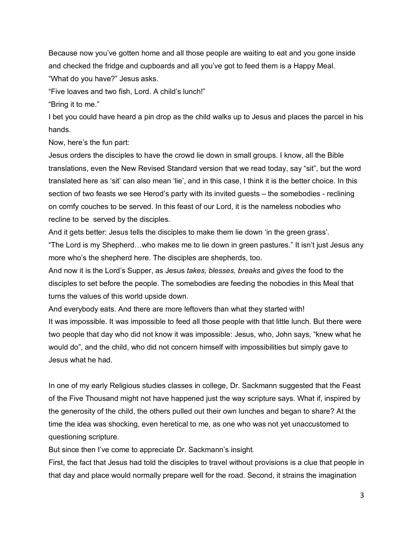Because now you've gotten home and all those people are waiting to eat and you gone inside and checked the fridge and cupboards and all you've got to feed them is a Happy Meal.

"What do you have?" Jesus asks.

"Five loaves and two fish, Lord. A child's lunch!"

"Bring it to me."

I bet you could have heard a pin drop as the child walks up to Jesus and places the parcel in his hands.

Now, here's the fun part:

Jesus orders the disciples to have the crowd lie down in small groups. I know, all the Bible translations, even the New Revised Standard version that we read today, say "sit", but the word translated here as 'sit' can also mean 'lie', and in this case, I think it is the better choice. In this section of two feasts we see Herod's party with its invited guests – the somebodies - reclining on comfy couches to be served. In this feast of our Lord, it is the nameless nobodies who recline to be served by the disciples.

And it gets better: Jesus tells the disciples to make them lie down 'in the green grass'.

"The Lord is my Shepherd…who makes me to lie down in green pastures." It isn't just Jesus any more who's the shepherd here. The disciples are shepherds, too.

And now it is the Lord's Supper, as Jesus *takes, blesses, breaks* and *gives* the food to the disciples to set before the people. The somebodies are feeding the nobodies in this Meal that turns the values of this world upside down.

And everybody eats. And there are more leftovers than what they started with! It was impossible. It was impossible to feed all those people with that little lunch. But there were

two people that day who did not know it was impossible: Jesus, who, John says, "knew what he would do", and the child, who did not concern himself with impossibilities but simply gave to Jesus what he had.

In one of my early Religious studies classes in college, Dr. Sackmann suggested that the Feast of the Five Thousand might not have happened just the way scripture says. What if, inspired by the generosity of the child, the others pulled out their own lunches and began to share? At the time the idea was shocking, even heretical to me, as one who was not yet unaccustomed to questioning scripture.

But since then I've come to appreciate Dr. Sackmann's insight.

First, the fact that Jesus had told the disciples to travel without provisions is a clue that people in that day and place would normally prepare well for the road. Second, it strains the imagination